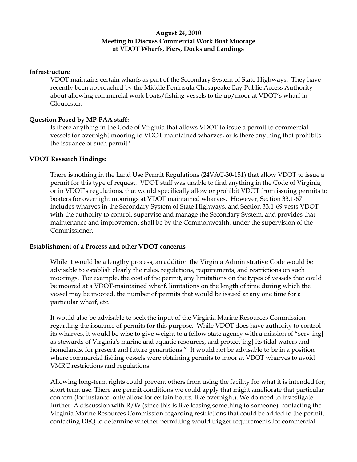### **August 24, 2010 Meeting to Discuss Commercial Work Boat Moorage at VDOT Wharfs, Piers, Docks and Landings**

### **Infrastructure**

VDOT maintains certain wharfs as part of the Secondary System of State Highways. They have recently been approached by the Middle Peninsula Chesapeake Bay Public Access Authority about allowing commercial work boats/fishing vessels to tie up/moor at VDOT's wharf in Gloucester.

#### **Question Posed by MP-PAA staff:**

Is there anything in the Code of Virginia that allows VDOT to issue a permit to commercial vessels for overnight mooring to VDOT maintained wharves, or is there anything that prohibits the issuance of such permit?

#### **VDOT Research Findings:**

There is nothing in the Land Use Permit Regulations (24VAC-30-151) that allow VDOT to issue a permit for this type of request. VDOT staff was unable to find anything in the Code of Virginia, or in VDOT's regulations, that would specifically allow or prohibit VDOT from issuing permits to boaters for overnight moorings at VDOT maintained wharves. However, Section 33.1-67 includes wharves in the Secondary System of State Highways, and Section 33.1-69 vests VDOT with the authority to control, supervise and manage the Secondary System, and provides that maintenance and improvement shall be by the Commonwealth, under the supervision of the Commissioner.

#### **Establishment of a Process and other VDOT concerns**

While it would be a lengthy process, an addition the Virginia Administrative Code would be advisable to establish clearly the rules, regulations, requirements, and restrictions on such moorings. For example, the cost of the permit, any limitations on the types of vessels that could be moored at a VDOT-maintained wharf, limitations on the length of time during which the vessel may be moored, the number of permits that would be issued at any one time for a particular wharf, etc.

It would also be advisable to seek the input of the Virginia Marine Resources Commission regarding the issuance of permits for this purpose. While VDOT does have authority to control its wharves, it would be wise to give weight to a fellow state agency with a mission of "serv[ing] as stewards of Virginia's marine and aquatic resources, and protect[ing] its tidal waters and homelands, for present and future generations." It would not be advisable to be in a position where commercial fishing vessels were obtaining permits to moor at VDOT wharves to avoid VMRC restrictions and regulations.

Allowing long-term rights could prevent others from using the facility for what it is intended for; short term use. There are permit conditions we could apply that might ameliorate that particular concern (for instance, only allow for certain hours, like overnight). We do need to investigate further: A discussion with R/W (since this is like leasing something to someone), contacting the Virginia Marine Resources Commission regarding restrictions that could be added to the permit, contacting DEQ to determine whether permitting would trigger requirements for commercial